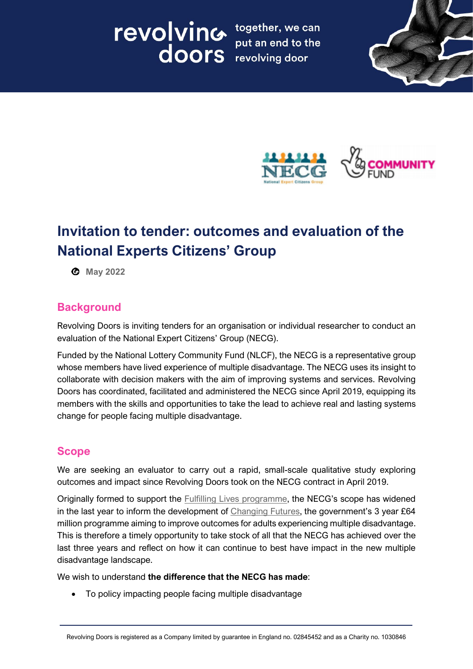# Tevolving together, we can put an end to the





# **Invitation to tender: outcomes and evaluation of the National Experts Citizens' Group**

**May 2022**

# **Background**

Revolving Doors is inviting tenders for an organisation or individual researcher to conduct an evaluation of the National Expert Citizens' Group (NECG).

Funded by the National Lottery Community Fund (NLCF), the NECG is a representative group whose members have lived experience of multiple disadvantage. The NECG uses its insight to collaborate with decision makers with the aim of improving systems and services. Revolving Doors has coordinated, facilitated and administered the NECG since April 2019, equipping its members with the skills and opportunities to take the lead to achieve real and lasting systems change for people facing multiple disadvantage.

# **Scope**

We are seeking an evaluator to carry out a rapid, small-scale qualitative study exploring outcomes and impact since Revolving Doors took on the NECG contract in April 2019.

Originally formed to support the [Fulfilling Lives programme,](https://www.tnlcommunityfund.org.uk/funding/strategic-investments/multiple-needs) the NECG's scope has widened in the last year to inform the development of [Changing Futures](https://www.gov.uk/government/collections/changing-futures), the government's 3 year £64 million programme aiming to improve outcomes for adults experiencing multiple disadvantage. This is therefore a timely opportunity to take stock of all that the NECG has achieved over the last three years and reflect on how it can continue to best have impact in the new multiple disadvantage landscape.

We wish to understand **the difference that the NECG has made**:

• To policy impacting people facing multiple disadvantage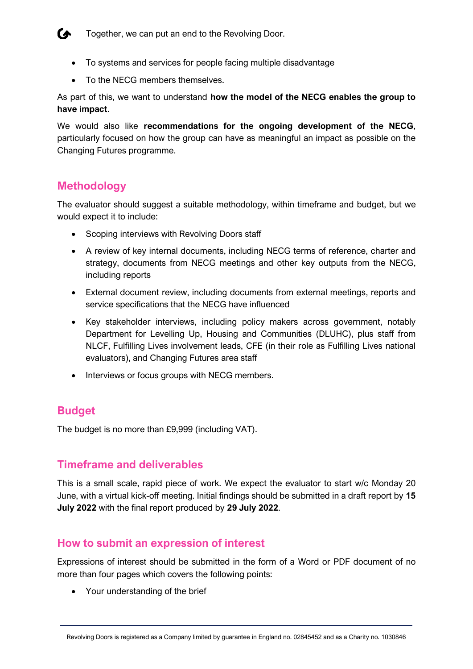#### **Together, we can put an end to the Revolving Door.**

- To systems and services for people facing multiple disadvantage
- To the NECG members themselves.

As part of this, we want to understand **how the model of the NECG enables the group to have impact**.

We would also like **recommendations for the ongoing development of the NECG**, particularly focused on how the group can have as meaningful an impact as possible on the Changing Futures programme.

# **Methodology**

The evaluator should suggest a suitable methodology, within timeframe and budget, but we would expect it to include:

- Scoping interviews with Revolving Doors staff
- A review of key internal documents, including NECG terms of reference, charter and strategy, documents from NECG meetings and other key outputs from the NECG, including reports
- External document review, including documents from external meetings, reports and service specifications that the NECG have influenced
- Key stakeholder interviews, including policy makers across government, notably Department for Levelling Up, Housing and Communities (DLUHC), plus staff from NLCF, Fulfilling Lives involvement leads, CFE (in their role as Fulfilling Lives national evaluators), and Changing Futures area staff
- Interviews or focus groups with NECG members.

# **Budget**

The budget is no more than £9,999 (including VAT).

### **Timeframe and deliverables**

This is a small scale, rapid piece of work. We expect the evaluator to start w/c Monday 20 June, with a virtual kick-off meeting. Initial findings should be submitted in a draft report by **15 July 2022** with the final report produced by **29 July 2022**.

# **How to submit an expression of interest**

Expressions of interest should be submitted in the form of a Word or PDF document of no more than four pages which covers the following points:

• Your understanding of the brief